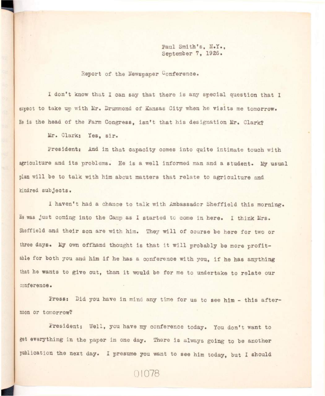Paul Smith's, N.Y., **September 7, 1926.** 

**Beport of the Newspaper Conference.** 

I don't know that I can say that there is any special question that I expect to take up with Mr. Drummond of Kansas City when he visits me tomorrow. **He is the head of the Farm Congress, isn't that his designation Mr, Clark?** 

 $Mr.$  Clark: Yes, sir.

President: And in that capacity comes into quite intimate touch with agriculture and its problems. He is a well informed man and a student. My usual plan will be to talk with him about matters that relate to agriculture and **kindred subjects.** 

**I haven't had a chance to talk with Ambassador Sheffield this morning. He was just coming into the Camp as I started to come in here. I think Mrs.**  Sheffield and their son are with him. They will of course be here for two or three days. My own offhand thought is that it will probably be more profitable for both you and him if he has a conference with you, if he has anything that he wants to give out, than it would be for me to undertake to relate our **conference.** 

Press: Did you have in mind any time for us to see him - this after**noon or tomorrow?** 

**President: Well, you have my conference today. You don't want to**  get everything in the paper in one day. There is always going to be another **publication the next day. I presume you want to see him today, but I should** 

01078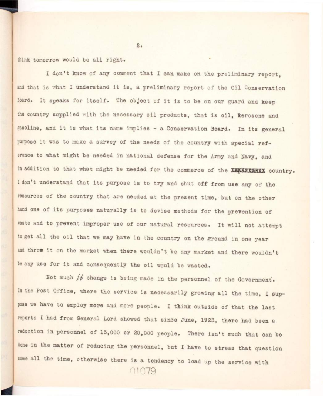think tomorrow would be all right.

**I don't know of any comment that I can make on the preliminary report,**  and that is what I understand it is, a preliminary report of the Oil Conservation Board. It speaks for itself. The object of it is to be on our guard and keep the country supplied with the necessary oil products, that is oil, kerosene and gasoline, and it is what its name implies - a Conservation Board. In its general purpose it was to make a survey of the needs of the country with special ref**erence to what might be needed in national defense for the Army and Navy, and**  in addition to that what might be needed for the commerce of the **KKKKKKKKX country**. I don't understand that its purpose is to try and shut off from use any of the **resources of the country that are needed at the present time, but on the other**  hand one of its purposes naturally is to devise methods for the prevention of waste and to prevent improper use of our natural resources. It will not attempt to get all the oil that we may have in the country on the ground in one year and throw it on the market when there wouldn't be any market and there wouldn't be any use for it and consequently the oil would be wasted.

Not much  $f$  $\neq$  **change is being made in the personnel of the Government.** In the Post Office, where the service is necessarily growing all the time, I sup**pose we have to employ more and more people. I think outside of that the last reports I had from General Lord showed that since June, 1923, there had been a**  reduction in personnel of 15,000 or 20,000 people. There isn't much that can be **dons in the matter of reducing the personnel, but I have to stress that question**  some all the time, otherwise there is a tendency to load up the service with **01079** 

*z.*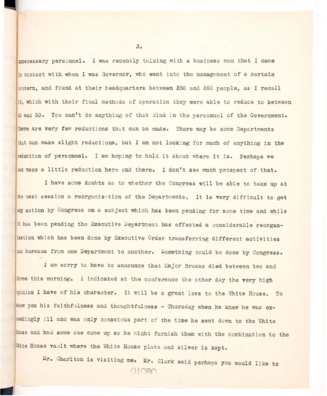**the cessary personnel.** I was recently talking with a business man that I came **in contact with when I was Governor, who went into the management of a certain**   $_{2010}$ ern, and found at their headquarters between 250 and 260 people. as I recall it, which with their final methods of operation they were able to reduce to between **40 and 50. You can't do anything of that kind in the personnel of the Government. fhere are very few reductions that can be made. There may be some Departments**  that can make slight reductions, but I am not looking for much of anything in the reduction of personnel. I am hoping to hold it about where it is. Perhaps we can make a little reduction here and there. I don't see much prospect of that.

I have some doubts as to whether the Congress will be able to take up at the next session a reorganization of the Departments. It is very difficult to get **any action by Congress on a subjeot which has been pending for some time and while it has been pending the Executive Department has effected a considerable reorganization which has been done by Executive Order transferring different activitie <sup>s</sup>** and bureaus from one Department to another. Something could be done by Congress.

**I am sorry to have to announce that Major Brooks died between two and three this morning. I indicated at the conference the other day the very high**  winion I have of his character. It will be a great loss to the White House. To **ahow you his faithfulness and thoughtfulness - Thursday when he knew he was ex**ceedingly ill and was only conscious part of the time he sent down to the White **House and had some one come up so he might furnish them with the combination to the**  White House vault where the White House plate and silver is kept.

 $Mr.$  Charlton is visiting me. Mr. Clark said perhaps you would like to OIORO

 $3.$